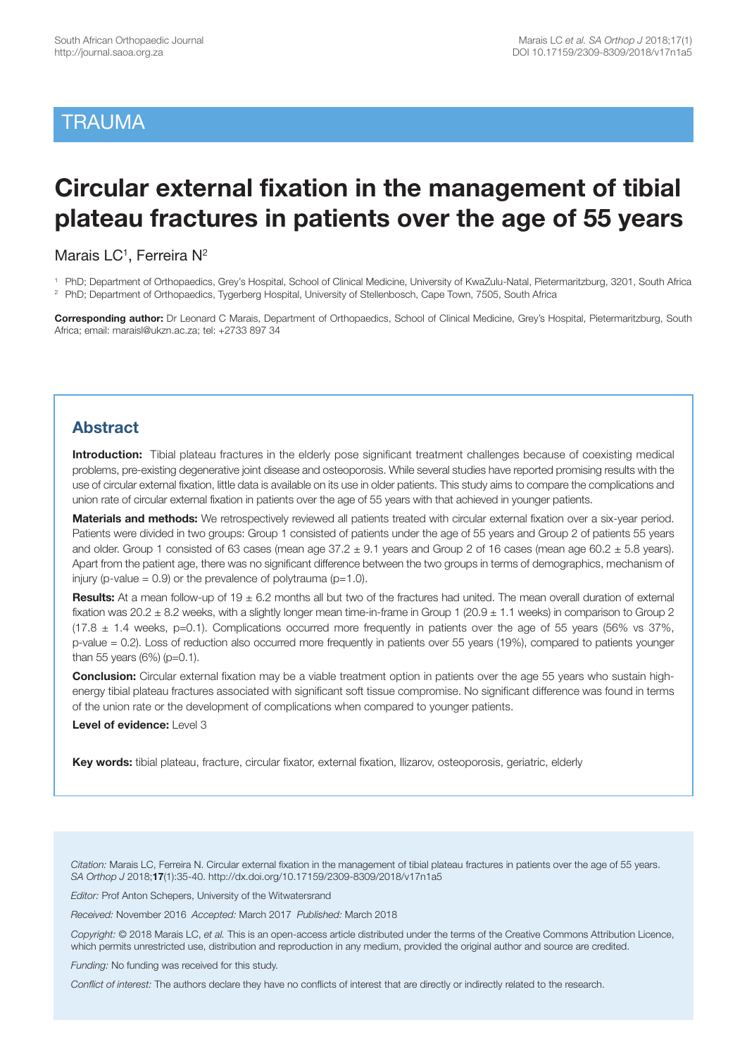## **TRAUMA**

# **Circular external fixation in the management of tibial plateau fractures in patients over the age of 55 years**

Marais LC<sup>1</sup>, Ferreira N<sup>2</sup>

1 PhD; Department of Orthopaedics, Grey's Hospital, School of Clinical Medicine, University of KwaZulu-Natal, Pietermaritzburg, 3201, South Africa

2 PhD; Department of Orthopaedics, Tygerberg Hospital, University of Stellenbosch, Cape Town, 7505, South Africa

**Corresponding author:** Dr Leonard C Marais, Department of Orthopaedics, School of Clinical Medicine, Grey's Hospital, Pietermaritzburg, South Africa; email: maraisl@ukzn.ac.za; tel: +2733 897 34

## **Abstract**

**Introduction:** Tibial plateau fractures in the elderly pose significant treatment challenges because of coexisting medical problems, pre-existing degenerative joint disease and osteoporosis. While several studies have reported promising results with the use of circular external fixation, little data is available on its use in older patients. This study aims to compare the complications and union rate of circular external fixation in patients over the age of 55 years with that achieved in younger patients.

**Materials and methods:** We retrospectively reviewed all patients treated with circular external fixation over a six-year period. Patients were divided in two groups: Group 1 consisted of patients under the age of 55 years and Group 2 of patients 55 years and older. Group 1 consisted of 63 cases (mean age  $37.2 \pm 9.1$  years and Group 2 of 16 cases (mean age 60.2  $\pm$  5.8 years). Apart from the patient age, there was no significant difference between the two groups in terms of demographics, mechanism of injury (p-value =  $0.9$ ) or the prevalence of polytrauma ( $p=1.0$ ).

**Results:** At a mean follow-up of 19 ± 6.2 months all but two of the fractures had united. The mean overall duration of external fixation was  $20.2 \pm 8.2$  weeks, with a slightly longer mean time-in-frame in Group 1 (20.9  $\pm$  1.1 weeks) in comparison to Group 2  $(17.8 \pm 1.4$  weeks, p=0.1). Complications occurred more frequently in patients over the age of 55 years (56% vs 37%, p-value = 0.2). Loss of reduction also occurred more frequently in patients over 55 years (19%), compared to patients younger than 55 years  $(6%)$  (p=0.1).

**Conclusion:** Circular external fixation may be a viable treatment option in patients over the age 55 years who sustain highenergy tibial plateau fractures associated with significant soft tissue compromise. No significant difference was found in terms of the union rate or the development of complications when compared to younger patients.

**Level of evidence:** Level 3

**Key words:** tibial plateau, fracture, circular fixator, external fixation, Ilizarov, osteoporosis, geriatric, elderly

*Citation:* Marais LC, Ferreira N. Circular external fixation in the management of tibial plateau fractures in patients over the age of 55 years. *SA Orthop J* 2018;**17**(1):35-40. http://dx.doi.org/10.17159/2309-8309/2018/v17n1a5

*Editor:* Prof Anton Schepers, University of the Witwatersrand

*Received:* November 2016 *Accepted:* March 2017 *Published:* March 2018

*Copyright:* © 2018 Marais LC, *et al.* This is an open-access article distributed under the terms of the Creative Commons Attribution Licence, which permits unrestricted use, distribution and reproduction in any medium, provided the original author and source are credited.

*Funding:* No funding was received for this study.

*Conflict of interest:* The authors declare they have no conflicts of interest that are directly or indirectly related to the research.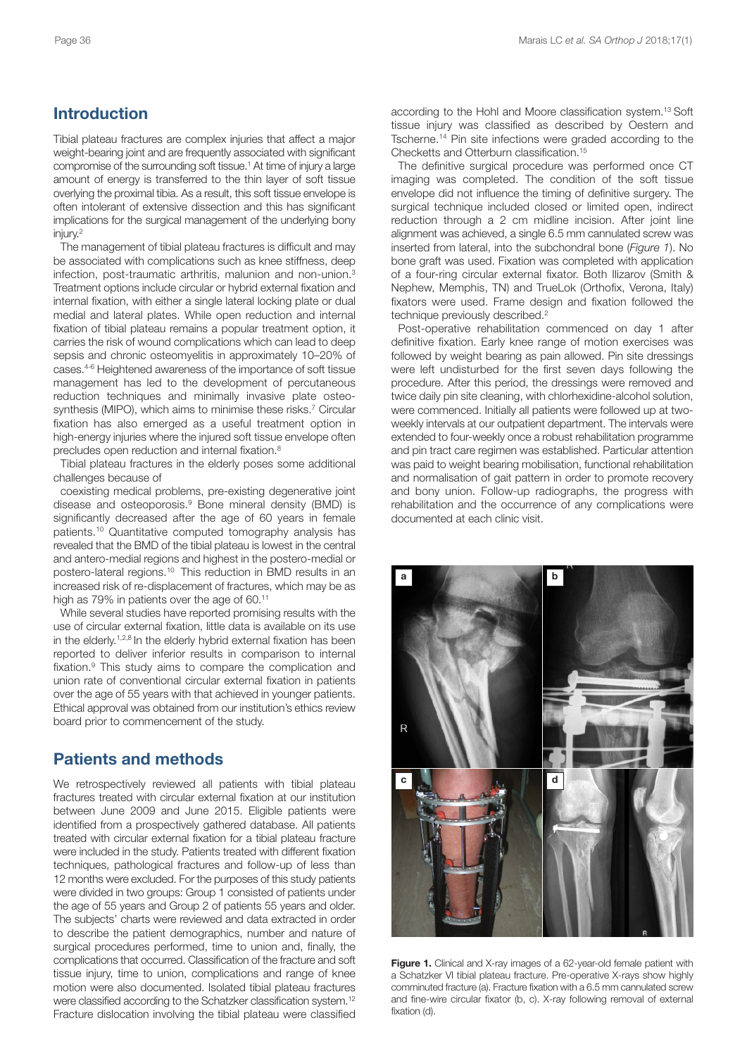## **Introduction**

Tibial plateau fractures are complex injuries that affect a major weight-bearing joint and are frequently associated with significant compromise of the surrounding soft tissue. <sup>1</sup> At time of injury a large amount of energy is transferred to the thin layer of soft tissue overlying the proximal tibia. As a result, this soft tissue envelope is often intolerant of extensive dissection and this has significant implications for the surgical management of the underlying bony injury. 2

The management of tibial plateau fractures is difficult and may be associated with complications such as knee stiffness, deep infection, post-traumatic arthritis, malunion and non-union. 3 Treatment options include circular or hybrid external fixation and internal fixation, with either a single lateral locking plate or dual medial and lateral plates. While open reduction and internal fixation of tibial plateau remains a popular treatment option, it carries the risk of wound complications which can lead to deep sepsis and chronic osteomyelitis in approximately 10–20% of cases. 4-6 Heightened awareness of the importance of soft tissue management has led to the development of percutaneous reduction techniques and minimally invasive plate osteosynthesis (MIPO), which aims to minimise these risks. <sup>7</sup> Circular fixation has also emerged as a useful treatment option in high-energy injuries where the injured soft tissue envelope often precludes open reduction and internal fixation. 8

Tibial plateau fractures in the elderly poses some additional challenges because of

coexisting medical problems, pre-existing degenerative joint disease and osteoporosis. <sup>9</sup> Bone mineral density (BMD) is significantly decreased after the age of 60 years in female patients. <sup>10</sup> Quantitative computed tomography analysis has revealed that the BMD of the tibial plateau is lowest in the central and antero-medial regions and highest in the postero-medial or postero-lateral regions. <sup>10</sup> This reduction in BMD results in an increased risk of re-displacement of fractures, which may be as high as 79% in patients over the age of 60.<sup>11</sup>

While several studies have reported promising results with the use of circular external fixation, little data is available on its use in the elderly.<sup>1,2,8</sup> In the elderly hybrid external fixation has been reported to deliver inferior results in comparison to internal fixation. <sup>9</sup> This study aims to compare the complication and union rate of conventional circular external fixation in patients over the age of 55 years with that achieved in younger patients. Ethical approval was obtained from our institution's ethics review board prior to commencement of the study.

#### **Patients and methods**

We retrospectively reviewed all patients with tibial plateau fractures treated with circular external fixation at our institution between June 2009 and June 2015. Eligible patients were identified from a prospectively gathered database. All patients treated with circular external fixation for a tibial plateau fracture were included in the study. Patients treated with different fixation techniques, pathological fractures and follow-up of less than 12 months were excluded. For the purposes of this study patients were divided in two groups: Group 1 consisted of patients under the age of 55 years and Group 2 of patients 55 years and older. The subjects' charts were reviewed and data extracted in order to describe the patient demographics, number and nature of surgical procedures performed, time to union and, finally, the complications that occurred. Classification of the fracture and soft tissue injury, time to union, complications and range of knee motion were also documented. Isolated tibial plateau fractures were classified according to the Schatzker classification system.<sup>12</sup> Fracture dislocation involving the tibial plateau were classified

according to the Hohl and Moore classification system. <sup>13</sup> Soft tissue injury was classified as described by Oestern and Tscherne. <sup>14</sup> Pin site infections were graded according to the Checketts and Otterburn classification. 15

The definitive surgical procedure was performed once CT imaging was completed. The condition of the soft tissue envelope did not influence the timing of definitive surgery. The surgical technique included closed or limited open, indirect reduction through a 2 cm midline incision. After joint line alignment was achieved, a single 6.5 mm cannulated screw was inserted from lateral, into the subchondral bone (*Figure 1*). No bone graft was used. Fixation was completed with application of a four-ring circular external fixator. Both Ilizarov (Smith & Nephew, Memphis, TN) and TrueLok (Orthofix, Verona, Italy) fixators were used. Frame design and fixation followed the technique previously described. 2

Post-operative rehabilitation commenced on day 1 after definitive fixation. Early knee range of motion exercises was followed by weight bearing as pain allowed. Pin site dressings were left undisturbed for the first seven days following the procedure. After this period, the dressings were removed and twice daily pin site cleaning, with chlorhexidine-alcohol solution, were commenced. Initially all patients were followed up at twoweekly intervals at our outpatient department. The intervals were extended to four-weekly once a robust rehabilitation programme and pin tract care regimen was established. Particular attention was paid to weight bearing mobilisation, functional rehabilitation and normalisation of gait pattern in order to promote recovery and bony union. Follow-up radiographs, the progress with rehabilitation and the occurrence of any complications were documented at each clinic visit.



**Figure 1.** Clinical and X-ray images of a 62-year-old female patient with a Schatzker VI tibial plateau fracture. Pre-operative X-rays show highly comminuted fracture (a). Fracture fixation with a 6.5 mm cannulated screw and fine-wire circular fixator (b, c). X-ray following removal of external fixation (d).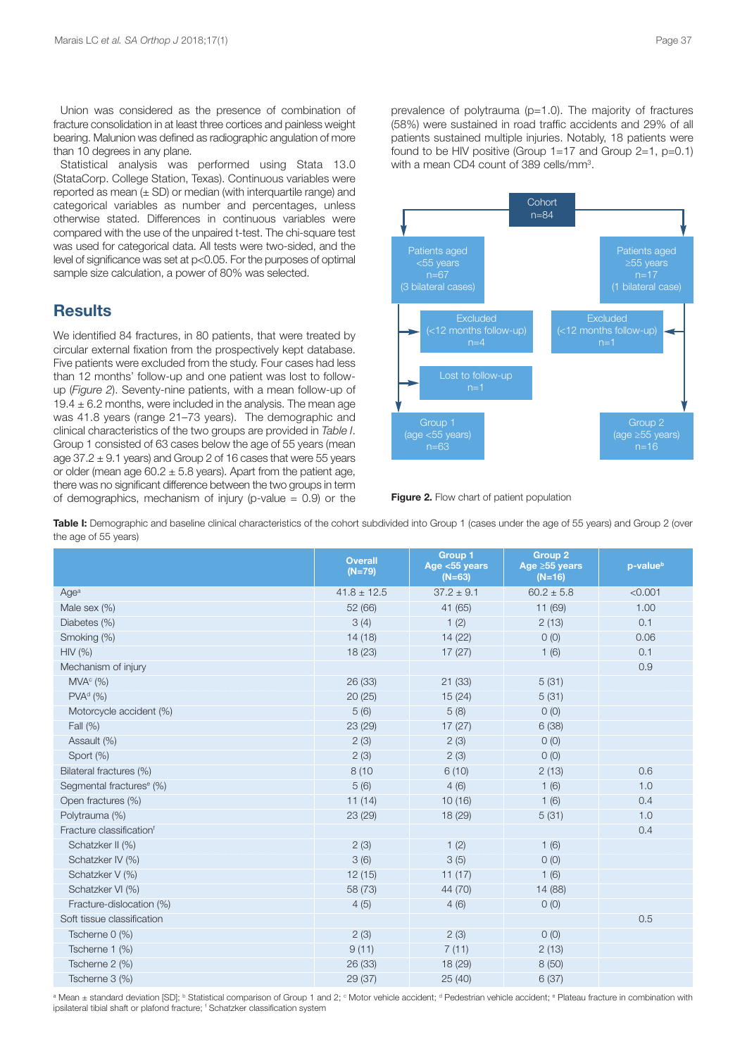Union was considered as the presence of combination of fracture consolidation in at least three cortices and painless weight bearing. Malunion was defined as radiographic angulation of more than 10 degrees in any plane.

Statistical analysis was performed using Stata 13.0 (StataCorp. College Station, Texas). Continuous variables were reported as mean  $(\pm$  SD) or median (with interquartile range) and categorical variables as number and percentages, unless otherwise stated. Differences in continuous variables were compared with the use of the unpaired t-test. The chi-square test was used for categorical data. All tests were two-sided, and the level of significance was set at p<0.05. For the purposes of optimal sample size calculation, a power of 80% was selected.

#### **Results**

We identified 84 fractures, in 80 patients, that were treated by circular external fixation from the prospectively kept database. Five patients were excluded from the study. Four cases had less than 12 months' follow-up and one patient was lost to followup (*Figure 2*). Seventy-nine patients, with a mean follow-up of 19.4  $\pm$  6.2 months, were included in the analysis. The mean age was 41.8 years (range 21–73 years). The demographic and clinical characteristics of the two groups are provided in *Table I*. Group 1 consisted of 63 cases below the age of 55 years (mean age  $37.2 \pm 9.1$  years) and Group 2 of 16 cases that were 55 years or older (mean age  $60.2 \pm 5.8$  years). Apart from the patient age, there was no significant difference between the two groups in term of demographics, mechanism of injury (p-value  $= 0.9$ ) or the prevalence of polytrauma (p=1.0). The majority of fractures (58%) were sustained in road traffic accidents and 29% of all patients sustained multiple injuries. Notably, 18 patients were found to be HIV positive (Group  $1=17$  and Group  $2=1$ ,  $p=0.1$ ) with a mean CD4 count of 389 cells/mm3.



**Figure 2.** Flow chart of patient population

Table I: Demographic and baseline clinical characteristics of the cohort subdivided into Group 1 (cases under the age of 55 years) and Group 2 (over the age of 55 years)

|                                      | <b>Overall</b><br>$(N=79)$ | <b>Group 1</b><br>Age <55 years<br>$(N=63)$ | <b>Group 2</b><br>Age ≥55 years<br>$(N=16)$ | p-value <sup>b</sup> |
|--------------------------------------|----------------------------|---------------------------------------------|---------------------------------------------|----------------------|
| Age <sup>a</sup>                     | $41.8 \pm 12.5$            | $37.2 \pm 9.1$                              | $60.2 \pm 5.8$                              | < 0.001              |
| Male sex (%)                         | 52 (66)                    | 41 (65)                                     | 11 (69)                                     | 1.00                 |
| Diabetes (%)                         | 3(4)                       | 1(2)                                        | 2(13)                                       | 0.1                  |
| Smoking (%)                          | 14(18)                     | 14 (22)                                     | $O$ (O)                                     | 0.06                 |
| HIV (%)                              | 18(23)                     | 17(27)                                      | 1(6)                                        | 0.1                  |
| Mechanism of injury                  |                            |                                             |                                             | 0.9                  |
| MVA <sup>c</sup> (%)                 | 26(33)                     | 21(33)                                      | 5(31)                                       |                      |
| PVA <sup>d</sup> (%)                 | 20(25)                     | 15(24)                                      | 5(31)                                       |                      |
| Motorcycle accident (%)              | 5(6)                       | 5(8)                                        | $O$ (O)                                     |                      |
| Fall (%)                             | 23 (29)                    | 17(27)                                      | 6(38)                                       |                      |
| Assault (%)                          | 2(3)                       | 2(3)                                        | 0(0)                                        |                      |
| Sport (%)                            | 2(3)                       | 2(3)                                        | $O$ (O)                                     |                      |
| Bilateral fractures (%)              | 8(10)                      | 6(10)                                       | 2(13)                                       | 0.6                  |
| Segmental fractures <sup>e</sup> (%) | 5(6)                       | 4(6)                                        | 1(6)                                        | 1.0                  |
| Open fractures (%)                   | 11(14)                     | 10(16)                                      | 1(6)                                        | 0.4                  |
| Polytrauma (%)                       | 23(29)                     | 18 (29)                                     | 5(31)                                       | 1.0                  |
| Fracture classification <sup>f</sup> |                            |                                             |                                             | 0.4                  |
| Schatzker II (%)                     | 2(3)                       | 1(2)                                        | 1(6)                                        |                      |
| Schatzker IV (%)                     | 3(6)                       | 3(5)                                        | O(0)                                        |                      |
| Schatzker V (%)                      | 12(15)                     | 11(17)                                      | 1(6)                                        |                      |
| Schatzker VI (%)                     | 58 (73)                    | 44 (70)                                     | 14 (88)                                     |                      |
| Fracture-dislocation (%)             | 4(5)                       | 4(6)                                        | 0(0)                                        |                      |
| Soft tissue classification           |                            |                                             |                                             | 0.5                  |
| Tscherne 0 (%)                       | 2(3)                       | 2(3)                                        | 0(0)                                        |                      |
| Tscherne 1 (%)                       | 9(11)                      | 7(11)                                       | 2(13)                                       |                      |
| Tscherne 2 (%)                       | 26 (33)                    | 18 (29)                                     | 8(50)                                       |                      |
| Tscherne 3 (%)                       | 29 (37)                    | 25(40)                                      | 6(37)                                       |                      |

<sup>a</sup> Mean ± standard deviation [SD]; <sup>b</sup> Statistical comparison of Group 1 and 2; <sup>c</sup> Motor vehicle accident; <sup>d</sup> Pedestrian vehicle accident; <sup>e</sup> Pateau fracture in combination with ipsilateral tibial shaft or plafond fracture; <sup>f</sup> Schatzker classification system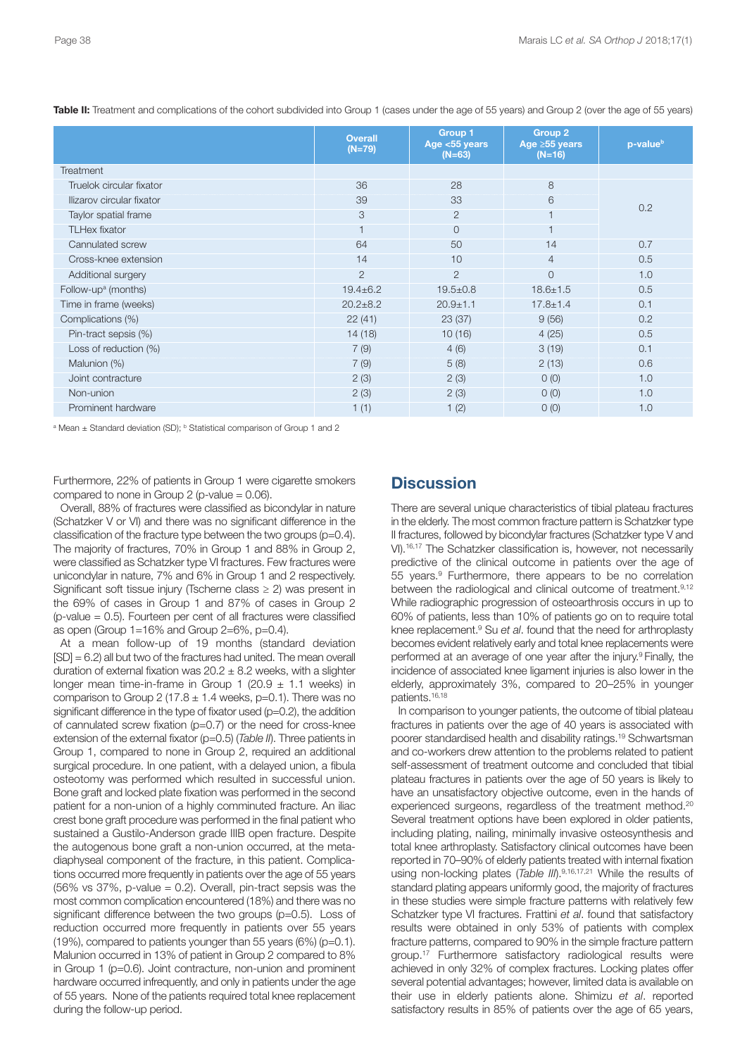|                                 | <b>Overall</b><br>$(N=79)$ | <b>Group 1</b><br>Age <55 years<br>$(N=63)$ | <b>Group 2</b><br>Age $\geq$ 55 years<br>$(N=16)$ | p-value <sup>b</sup> |  |
|---------------------------------|----------------------------|---------------------------------------------|---------------------------------------------------|----------------------|--|
| <b>Treatment</b>                |                            |                                             |                                                   |                      |  |
| Truelok circular fixator        | 36                         | 28                                          | 8                                                 |                      |  |
| Ilizarov circular fixator       | 39                         | 33                                          | 6                                                 | 0.2                  |  |
| Taylor spatial frame            | 3                          | $\overline{2}$                              |                                                   |                      |  |
| <b>TLHex fixator</b>            |                            | $\Omega$                                    | $\overline{1}$                                    |                      |  |
| Cannulated screw                | 64                         | 50                                          | 14                                                | 0.7                  |  |
| Cross-knee extension            | 14                         | 10                                          | $\overline{4}$                                    | 0.5                  |  |
| Additional surgery              | $\overline{2}$             | $\overline{2}$                              | $\overline{0}$                                    | 1.0                  |  |
| Follow-up <sup>a</sup> (months) | $19.4 \pm 6.2$             | $19.5 \pm 0.8$                              | $18.6 \pm 1.5$                                    | 0.5                  |  |
| Time in frame (weeks)           | $20.2 + 8.2$               | $20.9 + 1.1$                                | $17.8 + 1.4$                                      | 0.1                  |  |
| Complications (%)               | 22(41)                     | 23(37)                                      | 9(56)                                             | 0.2                  |  |
| Pin-tract sepsis (%)            | 14(18)                     | 10(16)                                      | 4(25)                                             | 0.5                  |  |
| Loss of reduction (%)           | 7(9)                       | 4(6)                                        | 3(19)                                             | 0.1                  |  |
| Malunion (%)                    | 7(9)                       | 5(8)                                        | 2(13)                                             | 0.6                  |  |
| Joint contracture               | 2(3)                       | 2(3)                                        | O(0)                                              | 1.0                  |  |
| Non-union                       | 2(3)                       | 2(3)                                        | O(0)                                              | 1.0                  |  |
| Prominent hardware              | 1(1)                       | 1(2)                                        | O(0)                                              | 1.0                  |  |

**Table II:** Treatment and complications of the cohort subdivided into Group 1 (cases under the age of 55 years) and Group 2 (over the age of 55 years)

<sup>a</sup> Mean  $+$  Standard deviation (SD); <sup>b</sup> Statistical comparison of Group 1 and 2

Furthermore, 22% of patients in Group 1 were cigarette smokers compared to none in Group 2 (p-value  $= 0.06$ ).

Overall, 88% of fractures were classified as bicondylar in nature (Schatzker V or VI) and there was no significant difference in the classification of the fracture type between the two groups (p=0.4). The majority of fractures, 70% in Group 1 and 88% in Group 2, were classified as Schatzker type VI fractures. Few fractures were unicondylar in nature, 7% and 6% in Group 1 and 2 respectively. Significant soft tissue injury (Tscherne class  $\geq$  2) was present in the 69% of cases in Group 1 and 87% of cases in Group 2 ( $p$ -value = 0.5). Fourteen per cent of all fractures were classified as open (Group 1=16% and Group 2=6%, p=0.4).

At a mean follow-up of 19 months (standard deviation [SD] = 6.2) all but two of the fractures had united. The mean overall duration of external fixation was  $20.2 \pm 8.2$  weeks, with a slighter longer mean time-in-frame in Group 1 (20.9  $\pm$  1.1 weeks) in comparison to Group 2 (17.8  $\pm$  1.4 weeks, p=0.1). There was no significant difference in the type of fixator used (p=0.2), the addition of cannulated screw fixation (p=0.7) or the need for cross-knee extension of the external fixator (p=0.5) (*Table II*). Three patients in Group 1, compared to none in Group 2, required an additional surgical procedure. In one patient, with a delayed union, a fibula osteotomy was performed which resulted in successful union. Bone graft and locked plate fixation was performed in the second patient for a non-union of a highly comminuted fracture. An iliac crest bone graft procedure was performed in the final patient who sustained a Gustilo-Anderson grade IIIB open fracture. Despite the autogenous bone graft a non-union occurred, at the metadiaphyseal component of the fracture, in this patient. Complications occurred more frequently in patients over the age of 55 years (56% vs 37%, p-value = 0.2). Overall, pin-tract sepsis was the most common complication encountered (18%) and there was no significant difference between the two groups (p=0.5). Loss of reduction occurred more frequently in patients over 55 years (19%), compared to patients younger than 55 years (6%) (p=0.1). Malunion occurred in 13% of patient in Group 2 compared to 8% in Group 1 (p=0.6). Joint contracture, non-union and prominent hardware occurred infrequently, and only in patients under the age of 55 years. None of the patients required total knee replacement during the follow-up period.

#### **Discussion**

There are several unique characteristics of tibial plateau fractures in the elderly. The most common fracture pattern is Schatzker type II fractures, followed by bicondylar fractures (Schatzker type V and VI). 16,17 The Schatzker classification is, however, not necessarily predictive of the clinical outcome in patients over the age of 55 years. <sup>9</sup> Furthermore, there appears to be no correlation between the radiological and clinical outcome of treatment.<sup>9,12</sup> While radiographic progression of osteoarthrosis occurs in up to 60% of patients, less than 10% of patients go on to require total knee replacement. <sup>9</sup> Su *et al*. found that the need for arthroplasty becomes evident relatively early and total knee replacements were performed at an average of one year after the injury.<sup>9</sup> Finally, the incidence of associated knee ligament injuries is also lower in the elderly, approximately 3%, compared to 20–25% in younger patients. 16,18

In comparison to younger patients, the outcome of tibial plateau fractures in patients over the age of 40 years is associated with poorer standardised health and disability ratings. <sup>19</sup> Schwartsman and co-workers drew attention to the problems related to patient self-assessment of treatment outcome and concluded that tibial plateau fractures in patients over the age of 50 years is likely to have an unsatisfactory objective outcome, even in the hands of experienced surgeons, regardless of the treatment method.<sup>20</sup> Several treatment options have been explored in older patients, including plating, nailing, minimally invasive osteosynthesis and total knee arthroplasty. Satisfactory clinical outcomes have been reported in 70–90% of elderly patients treated with internal fixation using non-locking plates (*Table III*). 9,16,17,21 While the results of standard plating appears uniformly good, the majority of fractures in these studies were simple fracture patterns with relatively few Schatzker type VI fractures. Frattini *et al*. found that satisfactory results were obtained in only 53% of patients with complex fracture patterns, compared to 90% in the simple fracture pattern group. <sup>17</sup> Furthermore satisfactory radiological results were achieved in only 32% of complex fractures. Locking plates offer several potential advantages; however, limited data is available on their use in elderly patients alone. Shimizu *et al*. reported satisfactory results in 85% of patients over the age of 65 years,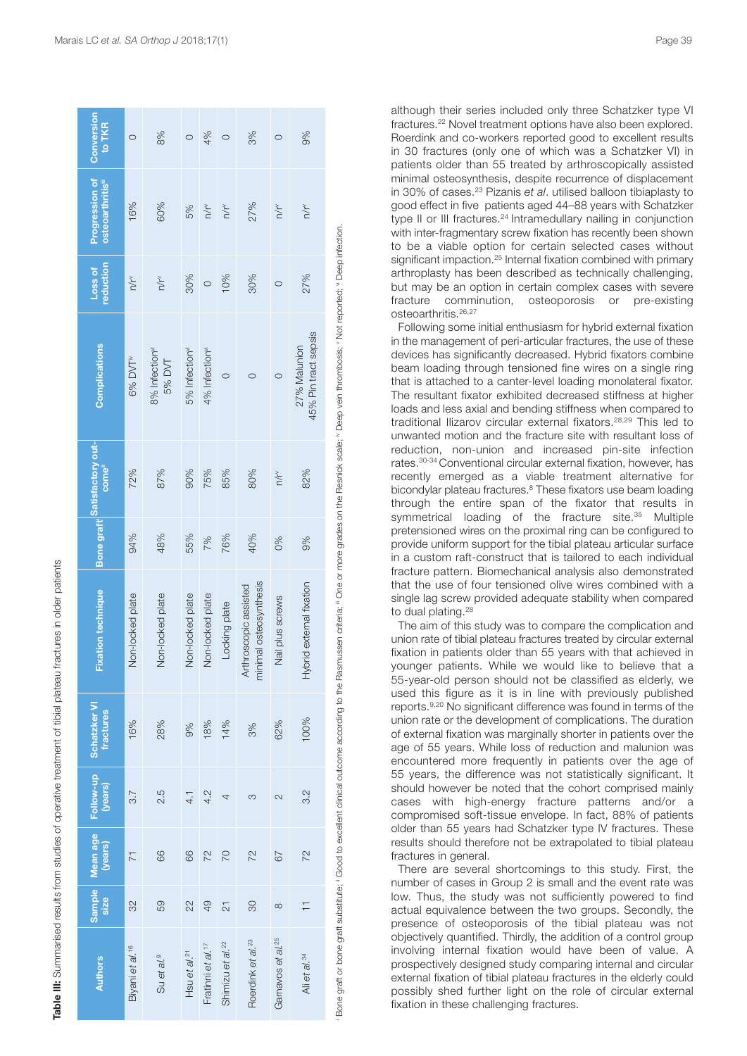| Conversion<br>to TKR                            | $\circ$                     | 8%                                   | $\circ$                    | 4%                            | $\circ$                      | 3%                                              | $\circ$                       | 9%                                   |
|-------------------------------------------------|-----------------------------|--------------------------------------|----------------------------|-------------------------------|------------------------------|-------------------------------------------------|-------------------------------|--------------------------------------|
| Progression of<br>osteoarthritis <sup>iii</sup> | 16%                         | 60%                                  | 5%                         | n/r                           | n/rv                         | 27%                                             | n/rv                          | n/rv                                 |
| reduction<br>Loss of                            | n/r                         | $\sum_{k=1}^{N}$                     | 30%                        | $\circ$                       | 10%                          | 30%                                             | $\circ$                       | 27%                                  |
| <b>Complications</b>                            | 6% DVT <sup>iv</sup>        | 8% Infection <sup>vi</sup><br>5% DVT | 5% Infection <sup>vi</sup> | 4% Infection <sup>vi</sup>    | $\circ$                      | $\circ$                                         | $\circ$                       | 45% Pin tract sepsis<br>27% Malunion |
| Bone graft Satisfactory out-<br>come"           | 72%                         | 87%                                  | 90%                        | 75%                           | 85%                          | 80%                                             | $\frac{1}{\sqrt{r}}$          | 82%                                  |
|                                                 | 94%                         | 48%                                  | 55%                        | 7%                            | 76%                          | 40%                                             | 0%                            | 9%                                   |
| <b>Fixation technique</b>                       | Non-locked plate            | Non-locked plate                     | Non-locked plate           | Non-locked plate              | Locking plate                | minimal osteosynthesis<br>Arthroscopic assisted | Nail plus screws              | Hybrid external fixation             |
| Schatzker VI<br>fractures                       | 16%                         | 28%                                  | 9%                         | 18%                           | 14%                          | 3%                                              | 62%                           | 100%                                 |
| Follow-up<br>(years)                            | 3.7                         | 2.5                                  | 4 <sub>1</sub>             | 4.2                           | 4                            | က                                               | 2                             | 3.2                                  |
| Mean age<br>(years)                             | $\overline{7}$              | 66                                   | 66                         | 72                            | <b>DZ</b>                    | 72                                              | 67                            | 72                                   |
| <b>Sample</b><br>size                           | 32                          | 59                                   | 22                         | 49                            | $\overline{\mathbf{c}}$      | 80                                              | $\infty$                      | Ξ                                    |
| <b>Authors</b>                                  | Biyani et al. <sup>16</sup> | Su et al. <sup>9</sup>               | Hsu et al. <sup>21</sup>   | Fratinni et al. <sup>17</sup> | Shimizu et al. <sup>22</sup> | Roerdink et al. <sup>23</sup>                   | Garnavos et al. <sup>25</sup> | Ali et al. <sup>34</sup>             |

**Table III:** Sum

marised results from studies of operative treatment of tibial plateau fractures in older patients

**Table III:** Summarised results from studies of operative treatment of tibial plateau fractures in older patients

although their series included only three Schatzker type VI fractures. <sup>22</sup> Novel treatment options have also been explored. Roerdink and co-workers reported good to excellent results in 30 fractures (only one of which was a Schatzker VI) in patients older than 55 treated by arthroscopically assisted minimal osteosynthesis, despite recurrence of displacement in 30% of cases. <sup>23</sup> Pizanis *et al*. utilised balloon tibiaplasty to good effect in five patients aged 44–88 years with Schatzker type II or III fractures.<sup>24</sup> Intramedullary nailing in conjunction with inter-fragmentary screw fixation has recently been shown to be a viable option for certain selected cases without significant impaction.<sup>25</sup> Internal fixation combined with primary arthroplasty has been described as technically challenging, but may be an option in certain complex cases with severe fracture comminution, osteoporosis or pre-existing osteoarthritis. 26,27

Following some initial enthusiasm for hybrid external fixation in the management of peri-articular fractures, the use of these devices has significantly decreased. Hybrid fixators combine beam loading through tensioned fine wires on a single ring that is attached to a canter-level loading monolateral fixator. The resultant fixator exhibited decreased stiffness at higher loads and less axial and bending stiffness when compared to traditional Ilizarov circular external fixators. 28,29 This led to unwanted motion and the fracture site with resultant loss of reduction, non-union and increased pin-site infection rates. 30-34 Conventional circular external fixation, however, has recently emerged as a viable treatment alternative for bicondylar plateau fractures. <sup>8</sup> These fixators use beam loading through the entire span of the fixator that results in symmetrical loading of the fracture site.<sup>35</sup> Multiple pretensioned wires on the proximal ring can be configured to provide uniform support for the tibial plateau articular surface in a custom raft-construct that is tailored to each individual fracture pattern. Biomechanical analysis also demonstrated that the use of four tensioned olive wires combined with a single lag screw provided adequate stability when compared to dual plating. 28

The aim of this study was to compare the complication and union rate of tibial plateau fractures treated by circular external fixation in patients older than 55 years with that achieved in younger patients. While we would like to believe that a 55-year-old person should not be classified as elderly, we used this figure as it is in line with previously published reports. 9,20 No significant difference was found in terms of the union rate or the development of complications. The duration of external fixation was marginally shorter in patients over the age of 55 years. While loss of reduction and malunion was encountered more frequently in patients over the age of 55 years, the difference was not statistically significant. It should however be noted that the cohort comprised mainly cases with high-energy fracture patterns and/or a compromised soft-tissue envelope. In fact, 88% of patients older than 55 years had Schatzker type IV fractures. These results should therefore not be extrapolated to tibial plateau fractures in general.

There are several shortcomings to this study. First, the number of cases in Group 2 is small and the event rate was low. Thus, the study was not sufficiently powered to find actual equivalence between the two groups. Secondly, the presence of osteoporosis of the tibial plateau was not objectively quantified. Thirdly, the addition of a control group involving internal fixation would have been of value. A prospectively designed study comparing internal and circular external fixation of tibial plateau fractures in the elderly could possibly shed further light on the role of circular external fixation in these challenging fractures.